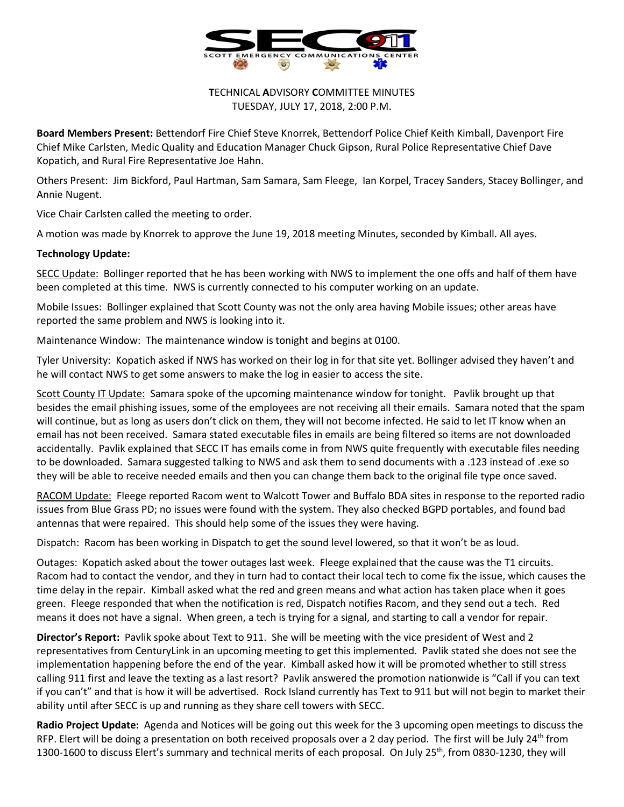

**T**ECHNICAL **A**DVISORY **C**OMMITTEE MINUTES TUESDAY, JULY 17, 2018, 2:00 P.M.

**Board Members Present:** Bettendorf Fire Chief Steve Knorrek, Bettendorf Police Chief Keith Kimball, Davenport Fire Chief Mike Carlsten, Medic Quality and Education Manager Chuck Gipson, Rural Police Representative Chief Dave Kopatich, and Rural Fire Representative Joe Hahn.

Others Present: Jim Bickford, Paul Hartman, Sam Samara, Sam Fleege, Ian Korpel, Tracey Sanders, Stacey Bollinger, and Annie Nugent.

Vice Chair Carlsten called the meeting to order.

A motion was made by Knorrek to approve the June 19, 2018 meeting Minutes, seconded by Kimball. All ayes.

## **Technology Update:**

SECC Update: Bollinger reported that he has been working with NWS to implement the one offs and half of them have been completed at this time. NWS is currently connected to his computer working on an update.

Mobile Issues: Bollinger explained that Scott County was not the only area having Mobile issues; other areas have reported the same problem and NWS is looking into it.

Maintenance Window: The maintenance window is tonight and begins at 0100.

Tyler University: Kopatich asked if NWS has worked on their log in for that site yet. Bollinger advised they haven't and he will contact NWS to get some answers to make the log in easier to access the site.

Scott County IT Update: Samara spoke of the upcoming maintenance window for tonight. Pavlik brought up that besides the email phishing issues, some of the employees are not receiving all their emails. Samara noted that the spam will continue, but as long as users don't click on them, they will not become infected. He said to let IT know when an email has not been received. Samara stated executable files in emails are being filtered so items are not downloaded accidentally. Pavlik explained that SECC IT has emails come in from NWS quite frequently with executable files needing to be downloaded. Samara suggested talking to NWS and ask them to send documents with a .123 instead of .exe so they will be able to receive needed emails and then you can change them back to the original file type once saved.

RACOM Update: Fleege reported Racom went to Walcott Tower and Buffalo BDA sites in response to the reported radio issues from Blue Grass PD; no issues were found with the system. They also checked BGPD portables, and found bad antennas that were repaired. This should help some of the issues they were having.

Dispatch: Racom has been working in Dispatch to get the sound level lowered, so that it won't be as loud.

Outages: Kopatich asked about the tower outages last week. Fleege explained that the cause was the T1 circuits. Racom had to contact the vendor, and they in turn had to contact their local tech to come fix the issue, which causes the time delay in the repair. Kimball asked what the red and green means and what action has taken place when it goes green. Fleege responded that when the notification is red, Dispatch notifies Racom, and they send out a tech. Red means it does not have a signal. When green, a tech is trying for a signal, and starting to call a vendor for repair.

**Director's Report:** Pavlik spoke about Text to 911. She will be meeting with the vice president of West and 2 representatives from CenturyLink in an upcoming meeting to get this implemented. Pavlik stated she does not see the implementation happening before the end of the year. Kimball asked how it will be promoted whether to still stress calling 911 first and leave the texting as a last resort? Pavlik answered the promotion nationwide is "Call if you can text if you can't" and that is how it will be advertised. Rock Island currently has Text to 911 but will not begin to market their ability until after SECC is up and running as they share cell towers with SECC.

**Radio Project Update:** Agenda and Notices will be going out this week for the 3 upcoming open meetings to discuss the RFP. Elert will be doing a presentation on both received proposals over a 2 day period. The first will be July 24<sup>th</sup> from 1300-1600 to discuss Elert's summary and technical merits of each proposal. On July 25th, from 0830-1230, they will